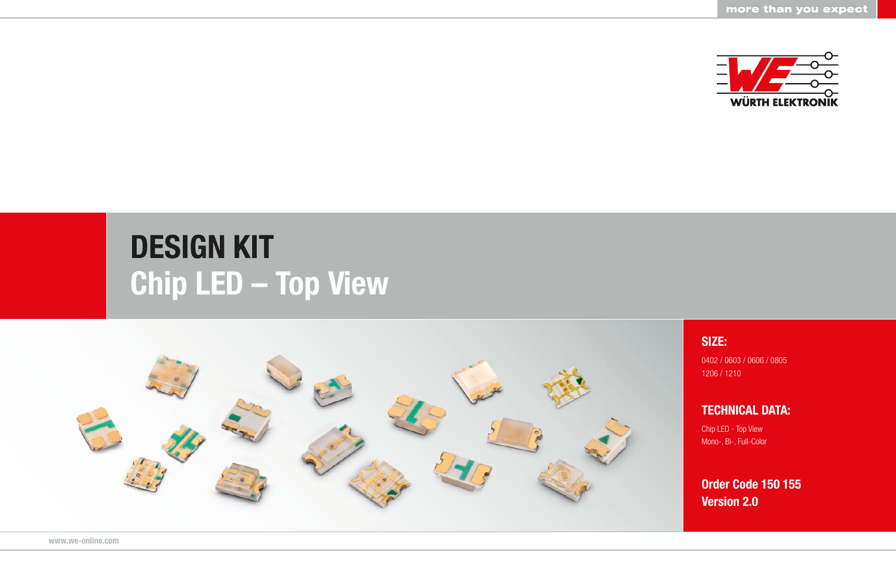

## DESIGN KIT Chip LED – Top View



SIZE:

0402 / 0603 / 0606 / 0805 1206 / 1210

TECHNICAL DATA:

Chip LED - Top View Mono-, Bi-, Full-Color

Order Code 150 155 Version 2.0